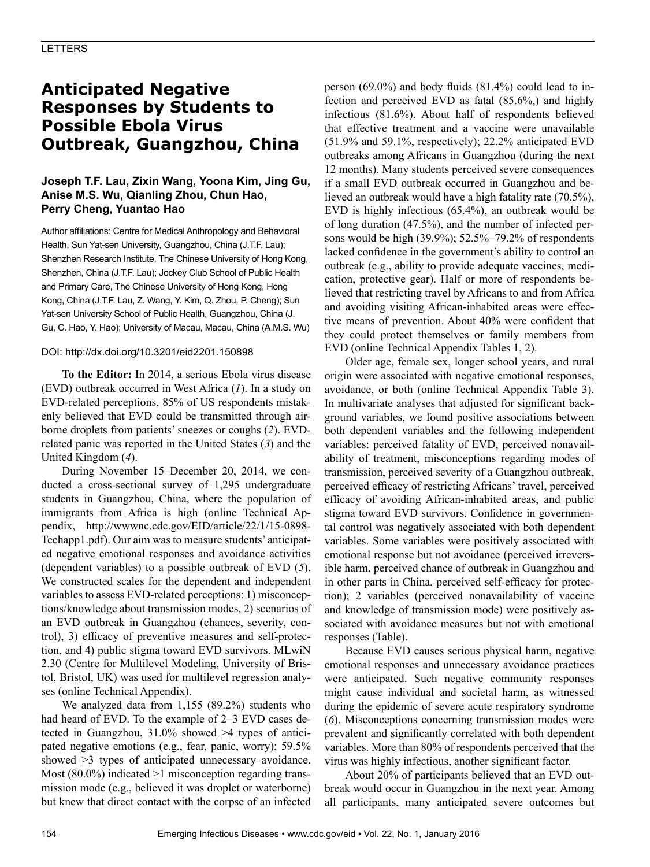# **Anticipated Negative Responses by Students to Possible Ebola Virus Outbreak, Guangzhou, China**

### **Joseph T.F. Lau, Zixin Wang, Yoona Kim, Jing Gu, Anise M.S. Wu, Qianling Zhou, Chun Hao, Perry Cheng, Yuantao Hao**

Author affiliations: Centre for Medical Anthropology and Behavioral Health, Sun Yat-sen University, Guangzhou, China (J.T.F. Lau); Shenzhen Research Institute, The Chinese University of Hong Kong, Shenzhen, China (J.T.F. Lau); Jockey Club School of Public Health and Primary Care, The Chinese University of Hong Kong, Hong Kong, China (J.T.F. Lau, Z. Wang, Y. Kim, Q. Zhou, P. Cheng); Sun Yat-sen University School of Public Health, Guangzhou, China (J. Gu, C. Hao, Y. Hao); University of Macau, Macau, China (A.M.S. Wu)

### DOI: http://dx.doi.org/10.3201/eid2201.150898

**To the Editor:** In 2014, a serious Ebola virus disease (EVD) outbreak occurred in West Africa (*1*). In a study on EVD-related perceptions, 85% of US respondents mistakenly believed that EVD could be transmitted through airborne droplets from patients' sneezes or coughs (*2*). EVDrelated panic was reported in the United States (*3*) and the United Kingdom (*4*).

During November 15–December 20, 2014, we conducted a cross-sectional survey of 1,295 undergraduate students in Guangzhou, China, where the population of immigrants from Africa is high (online Technical Appendix, http://wwwnc.cdc.gov/EID/article/22/1/15-0898- Techapp1.pdf). Our aim was to measure students' anticipated negative emotional responses and avoidance activities (dependent variables) to a possible outbreak of EVD (*5*). We constructed scales for the dependent and independent variables to assess EVD-related perceptions: 1) misconceptions/knowledge about transmission modes, 2) scenarios of an EVD outbreak in Guangzhou (chances, severity, control), 3) efficacy of preventive measures and self-protection, and 4) public stigma toward EVD survivors. MLwiN 2.30 (Centre for Multilevel Modeling, University of Bristol, Bristol, UK) was used for multilevel regression analyses (online Technical Appendix).

We analyzed data from 1,155 (89.2%) students who had heard of EVD. To the example of  $2-3$  EVD cases detected in Guangzhou,  $31.0\%$  showed  $\geq 4$  types of anticipated negative emotions (e.g., fear, panic, worry); 59.5% showed  $\geq$ 3 types of anticipated unnecessary avoidance. Most (80.0%) indicated  $\geq$ 1 misconception regarding transmission mode (e.g., believed it was droplet or waterborne) but knew that direct contact with the corpse of an infected person (69.0%) and body fluids (81.4%) could lead to infection and perceived EVD as fatal (85.6%,) and highly infectious (81.6%). About half of respondents believed that effective treatment and a vaccine were unavailable (51.9% and 59.1%, respectively); 22.2% anticipated EVD outbreaks among Africans in Guangzhou (during the next 12 months). Many students perceived severe consequences if a small EVD outbreak occurred in Guangzhou and believed an outbreak would have a high fatality rate (70.5%), EVD is highly infectious (65.4%), an outbreak would be of long duration (47.5%), and the number of infected persons would be high (39.9%); 52.5%–79.2% of respondents lacked confidence in the government's ability to control an outbreak (e.g., ability to provide adequate vaccines, medication, protective gear). Half or more of respondents believed that restricting travel by Africans to and from Africa and avoiding visiting African-inhabited areas were effective means of prevention. About 40% were confident that they could protect themselves or family members from EVD (online Technical Appendix Tables 1, 2).

Older age, female sex, longer school years, and rural origin were associated with negative emotional responses, avoidance, or both (online Technical Appendix Table 3). In multivariate analyses that adjusted for significant background variables, we found positive associations between both dependent variables and the following independent variables: perceived fatality of EVD, perceived nonavailability of treatment, misconceptions regarding modes of transmission, perceived severity of a Guangzhou outbreak, perceived efficacy of restricting Africans' travel, perceived efficacy of avoiding African-inhabited areas, and public stigma toward EVD survivors. Confidence in governmental control was negatively associated with both dependent variables. Some variables were positively associated with emotional response but not avoidance (perceived irreversible harm, perceived chance of outbreak in Guangzhou and in other parts in China, perceived self-efficacy for protection); 2 variables (perceived nonavailability of vaccine and knowledge of transmission mode) were positively associated with avoidance measures but not with emotional responses (Table).

Because EVD causes serious physical harm, negative emotional responses and unnecessary avoidance practices were anticipated. Such negative community responses might cause individual and societal harm, as witnessed during the epidemic of severe acute respiratory syndrome (*6*). Misconceptions concerning transmission modes were prevalent and significantly correlated with both dependent variables. More than 80% of respondents perceived that the virus was highly infectious, another significant factor.

About 20% of participants believed that an EVD outbreak would occur in Guangzhou in the next year. Among all participants, many anticipated severe outcomes but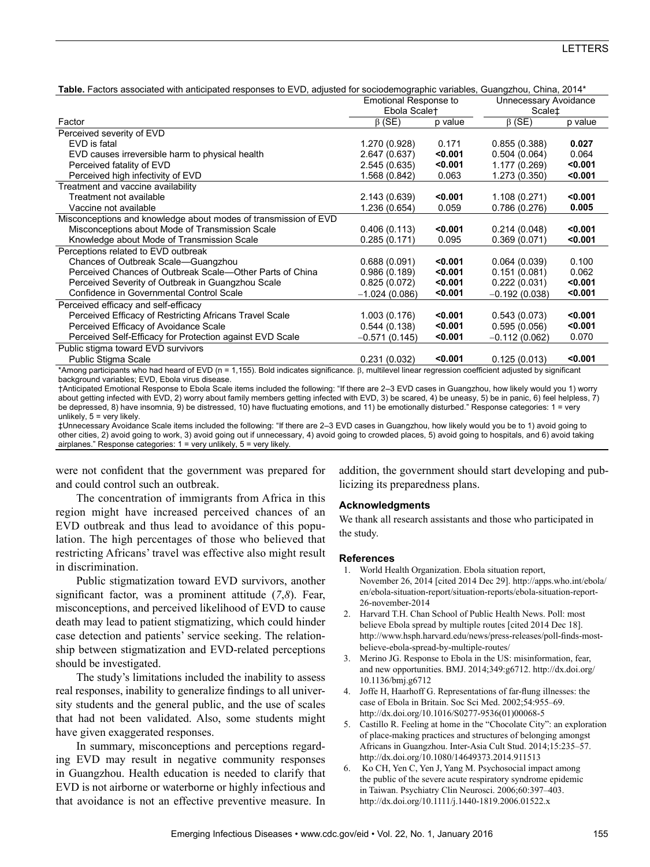Table. Factors associated with anticipated responses to EVD, adjusted for sociodemographic variables, Guangzhou, China, 2014\*

|                                                                                                                                                 | <b>Emotional Response to</b> |         | Unnecessary Avoidance             |         |
|-------------------------------------------------------------------------------------------------------------------------------------------------|------------------------------|---------|-----------------------------------|---------|
|                                                                                                                                                 | Ebola Scale <sup>+</sup>     |         | Scale <sup><math>\pm</math></sup> |         |
| Factor                                                                                                                                          | $\beta$ (SE)                 | p value | $\beta$ (SE)                      | p value |
| Perceived severity of EVD                                                                                                                       |                              |         |                                   |         |
| EVD is fatal                                                                                                                                    | 1.270 (0.928)                | 0.171   | 0.855(0.388)                      | 0.027   |
| EVD causes irreversible harm to physical health                                                                                                 | 2.647 (0.637)                | < 0.001 | 0.504(0.064)                      | 0.064   |
| Perceived fatality of EVD                                                                                                                       | 2.545 (0.635)                | < 0.001 | 1.177 (0.269)                     | < 0.001 |
| Perceived high infectivity of EVD                                                                                                               | 1.568 (0.842)                | 0.063   | 1.273 (0.350)                     | < 0.001 |
| Treatment and vaccine availability                                                                                                              |                              |         |                                   |         |
| Treatment not available                                                                                                                         | 2.143 (0.639)                | < 0.001 | 1.108 (0.271)                     | < 0.001 |
| Vaccine not available                                                                                                                           | 1.236 (0.654)                | 0.059   | 0.786(0.276)                      | 0.005   |
| Misconceptions and knowledge about modes of transmission of EVD                                                                                 |                              |         |                                   |         |
| Misconceptions about Mode of Transmission Scale                                                                                                 | 0.406(0.113)                 | < 0.001 | 0.214(0.048)                      | < 0.001 |
| Knowledge about Mode of Transmission Scale                                                                                                      | 0.285(0.171)                 | 0.095   | 0.369(0.071)                      | < 0.001 |
| Perceptions related to EVD outbreak                                                                                                             |                              |         |                                   |         |
| Chances of Outbreak Scale-Guangzhou                                                                                                             | 0.688(0.091)                 | < 0.001 | 0.064(0.039)                      | 0.100   |
| Perceived Chances of Outbreak Scale—Other Parts of China                                                                                        | 0.986(0.189)                 | < 0.001 | 0.151(0.081)                      | 0.062   |
| Perceived Severity of Outbreak in Guangzhou Scale                                                                                               | 0.825(0.072)                 | < 0.001 | 0.222(0.031)                      | < 0.001 |
| Confidence in Governmental Control Scale                                                                                                        | $-1.024(0.086)$              | < 0.001 | $-0.192(0.038)$                   | < 0.001 |
| Perceived efficacy and self-efficacy                                                                                                            |                              |         |                                   |         |
| Perceived Efficacy of Restricting Africans Travel Scale                                                                                         | 1.003(0.176)                 | $0.001$ | 0.543(0.073)                      | < 0.001 |
| Perceived Efficacy of Avoidance Scale                                                                                                           | 0.544(0.138)                 | < 0.001 | 0.595(0.056)                      | < 0.001 |
| Perceived Self-Efficacy for Protection against EVD Scale                                                                                        | $-0.571(0.145)$              | $0.001$ | $-0.112(0.062)$                   | 0.070   |
| Public stigma toward EVD survivors                                                                                                              |                              |         |                                   |         |
| Public Stigma Scale                                                                                                                             | 0.231(0.032)                 | < 0.001 | 0.125(0.013)                      | < 0.001 |
| *Automorphistophe (che had based of FVD /a = 4 4FF). Dald ballagia algolficación (complitudo comparadores as filosofonia albudad busquelibra el |                              |         |                                   |         |

Among participants who had heard of EVD (n = 1,155). Bold indicates significance.  $\beta$ , multilevel linear regression coefficient adjusted by significant background variables; EVD, Ebola virus disease.

†Anticipated Emotional Response to Ebola Scale items included the following: "If there are 2–3 EVD cases in Guangzhou, how likely would you 1) worry about getting infected with EVD, 2) worry about family members getting infected with EVD, 3) be scared, 4) be uneasy, 5) be in panic, 6) feel helpless, 7) be depressed, 8) have insomnia, 9) be distressed, 10) have fluctuating emotions, and 11) be emotionally disturbed." Response categories: 1 = very unlikely,  $5 = \text{very likely.}$ 

‡Unnecessary Avoidance Scale items included the following: "If there are 2–3 EVD cases in Guangzhou, how likely would you be to 1) avoid going to other cities, 2) avoid going to work, 3) avoid going out if unnecessary, 4) avoid going to crowded places, 5) avoid going to hospitals, and 6) avoid taking airplanes." Response categories: 1 = very unlikely, 5 = very likely.

were not confident that the government was prepared for and could control such an outbreak.

The concentration of immigrants from Africa in this region might have increased perceived chances of an EVD outbreak and thus lead to avoidance of this population. The high percentages of those who believed that restricting Africans' travel was effective also might result in discrimination.

Public stigmatization toward EVD survivors, another significant factor, was a prominent attitude (*7*,*8*). Fear, misconceptions, and perceived likelihood of EVD to cause death may lead to patient stigmatizing, which could hinder case detection and patients' service seeking. The relationship between stigmatization and EVD-related perceptions should be investigated.

The study's limitations included the inability to assess real responses, inability to generalize findings to all university students and the general public, and the use of scales that had not been validated. Also, some students might have given exaggerated responses.

In summary, misconceptions and perceptions regarding EVD may result in negative community responses in Guangzhou. Health education is needed to clarify that EVD is not airborne or waterborne or highly infectious and that avoidance is not an effective preventive measure. In addition, the government should start developing and publicizing its preparedness plans.

### **Acknowledgments**

We thank all research assistants and those who participated in the study.

### **References**

- 1. World Health Organization. Ebola situation report, November 26, 2014 [cited 2014 Dec 29]. http://apps.who.int/ebola/ en/ebola-situation-report/situation-reports/ebola-situation-report-26-november-2014
- 2. Harvard T.H. Chan School of Public Health News. Poll: most believe Ebola spread by multiple routes [cited 2014 Dec 18]. http://www.hsph.harvard.edu/news/press-releases/poll-finds-mostbelieve-ebola-spread-by-multiple-routes/
- 3. Merino JG. Response to Ebola in the US: misinformation, fear, and new opportunities. BMJ. 2014;349:g6712. http://dx.doi.org/ 10.1136/bmj.g6712
- 4. Joffe H, Haarhoff G. Representations of far-flung illnesses: the case of Ebola in Britain. Soc Sci Med. 2002;54:955–69. http://dx.doi.org/10.1016/S0277-9536(01)00068-5
- 5. Castillo R. Feeling at home in the "Chocolate City": an exploration of place-making practices and structures of belonging amongst Africans in Guangzhou. Inter-Asia Cult Stud. 2014;15:235–57. http://dx.doi.org/10.1080/14649373.2014.911513
- 6. Ko CH, Yen C, Yen J, Yang M. Psychosocial impact among the public of the severe acute respiratory syndrome epidemic in Taiwan. Psychiatry Clin Neurosci. 2006;60:397–403. http://dx.doi.org/10.1111/j.1440-1819.2006.01522.x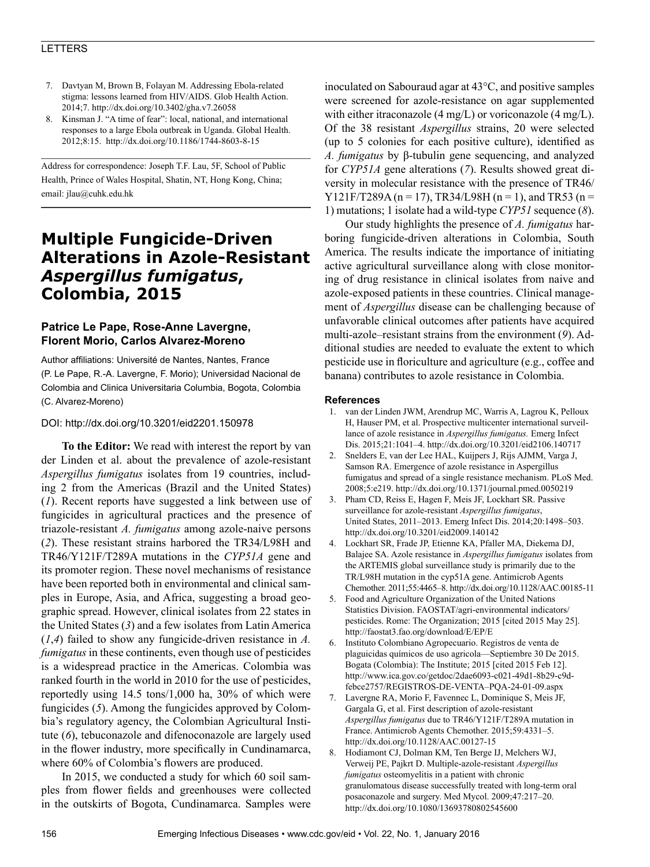### LETTERS

- 7. Davtyan M, Brown B, Folayan M. Addressing Ebola-related stigma: lessons learned from HIV/AIDS. Glob Health Action. 2014;7. http://dx.doi.org/10.3402/gha.v7.26058
- 8. Kinsman J. "A time of fear": local, national, and international responses to a large Ebola outbreak in Uganda. Global Health. 2012;8:15. http://dx.doi.org/10.1186/1744-8603-8-15

Address for correspondence: Joseph T.F. Lau, 5F, School of Public Health, Prince of Wales Hospital, Shatin, NT, Hong Kong, China; email: jlau@cuhk.edu.hk

# **Multiple Fungicide-Driven Alterations in Azole-Resistant**  *Aspergillus fumigatus***, Colombia, 2015**

### **Patrice Le Pape, Rose-Anne Lavergne, Florent Morio, Carlos Alvarez-Moreno**

Author affiliations: Université de Nantes, Nantes, France (P. Le Pape, R.-A. Lavergne, F. Morio); Universidad Nacional de Colombia and Clinica Universitaria Columbia, Bogota, Colombia (C. Alvarez-Moreno)

### DOI: http://dx.doi.org/10.3201/eid2201.150978

**To the Editor:** We read with interest the report by van der Linden et al. about the prevalence of azole-resistant *Aspergillus fumigatus* isolates from 19 countries, including 2 from the Americas (Brazil and the United States) (*1*). Recent reports have suggested a link between use of fungicides in agricultural practices and the presence of triazole-resistant *A. fumigatus* among azole-naive persons (*2*). These resistant strains harbored the TR34/L98H and TR46/Y121F/T289A mutations in the *CYP51A* gene and its promoter region. These novel mechanisms of resistance have been reported both in environmental and clinical samples in Europe, Asia, and Africa, suggesting a broad geographic spread. However, clinical isolates from 22 states in the United States (*3*) and a few isolates from Latin America (*1*,*4*) failed to show any fungicide-driven resistance in *A. fumigatus* in these continents, even though use of pesticides is a widespread practice in the Americas. Colombia was ranked fourth in the world in 2010 for the use of pesticides, reportedly using 14.5 tons/1,000 ha, 30% of which were fungicides (*5*). Among the fungicides approved by Colombia's regulatory agency, the Colombian Agricultural Institute (*6*), tebuconazole and difenoconazole are largely used in the flower industry, more specifically in Cundinamarca, where 60% of Colombia's flowers are produced.

In 2015, we conducted a study for which 60 soil samples from flower fields and greenhouses were collected in the outskirts of Bogota, Cundinamarca. Samples were

inoculated on Sabouraud agar at 43°C, and positive samples were screened for azole-resistance on agar supplemented with either itraconazole (4 mg/L) or voriconazole (4 mg/L). Of the 38 resistant *Aspergillus* strains, 20 were selected (up to 5 colonies for each positive culture), identified as *A. fumigatus* by β-tubulin gene sequencing, and analyzed for *CYP51A* gene alterations (*7*). Results showed great diversity in molecular resistance with the presence of TR46/ Y121F/T289A (n = 17), TR34/L98H (n = 1), and TR53 (n = 1) mutations; 1 isolate had a wild-type *CYP51* sequence (*8*).

Our study highlights the presence of *A. fumigatus* harboring fungicide-driven alterations in Colombia, South America. The results indicate the importance of initiating active agricultural surveillance along with close monitoring of drug resistance in clinical isolates from naive and azole-exposed patients in these countries. Clinical management of *Aspergillus* disease can be challenging because of unfavorable clinical outcomes after patients have acquired multi-azole–resistant strains from the environment (*9*). Additional studies are needed to evaluate the extent to which pesticide use in floriculture and agriculture (e.g., coffee and banana) contributes to azole resistance in Colombia.

### **References**

- 1. van der Linden JWM, Arendrup MC, Warris A, Lagrou K, Pelloux H, Hauser PM, et al. Prospective multicenter international surveillance of azole resistance in *Aspergillus fumigatus.* Emerg Infect Dis. 2015;21:1041–4. http://dx.doi.org/10.3201/eid2106.140717
- 2. Snelders E, van der Lee HAL, Kuijpers J, Rijs AJMM, Varga J, Samson RA. Emergence of azole resistance in Aspergillus fumigatus and spread of a single resistance mechanism. PLoS Med. 2008;5:e219. http://dx.doi.org/10.1371/journal.pmed.0050219
- 3. Pham CD, Reiss E, Hagen F, Meis JF, Lockhart SR. Passive surveillance for azole-resistant *Aspergillus fumigatus*, United States, 2011–2013. Emerg Infect Dis. 2014;20:1498–503. http://dx.doi.org/10.3201/eid2009.140142
- 4. Lockhart SR, Frade JP, Etienne KA, Pfaller MA, Diekema DJ, Balajee SA. Azole resistance in *Aspergillus fumigatus* isolates from the ARTEMIS global surveillance study is primarily due to the TR/L98H mutation in the cyp51A gene. Antimicrob Agents Chemother. 2011;55:4465–8. http://dx.doi.org/10.1128/AAC.00185-11
- 5. Food and Agriculture Organization of the United Nations Statistics Division. FAOSTAT/agri-environmental indicators/ pesticides. Rome: The Organization; 2015 [cited 2015 May 25]. http://faostat3.fao.org/download/E/EP/E
- 6. Instituto Colombiano Agropecuario. Registros de venta de plaguicidas químicos de uso agricola—Septiembre 30 De 2015. Bogata (Colombia): The Institute; 2015 [cited 2015 Feb 12]. http://www.ica.gov.co/getdoc/2dae6093-c021-49d1-8b29-c9dfebce2757/REGISTROS-DE-VENTA–PQA-24-01-09.aspx
- 7. Lavergne RA, Morio F, Favennec L, Dominique S, Meis JF, Gargala G, et al. First description of azole-resistant *Aspergillus fumigatus* due to TR46/Y121F/T289A mutation in France. Antimicrob Agents Chemother. 2015;59:4331–5. http://dx.doi.org/10.1128/AAC.00127-15
- 8. Hodiamont CJ, Dolman KM, Ten Berge IJ, Melchers WJ, Verweij PE, Pajkrt D. Multiple-azole-resistant *Aspergillus fumigatus* osteomyelitis in a patient with chronic granulomatous disease successfully treated with long-term oral posaconazole and surgery. Med Mycol. 2009;47:217–20. http://dx.doi.org/10.1080/13693780802545600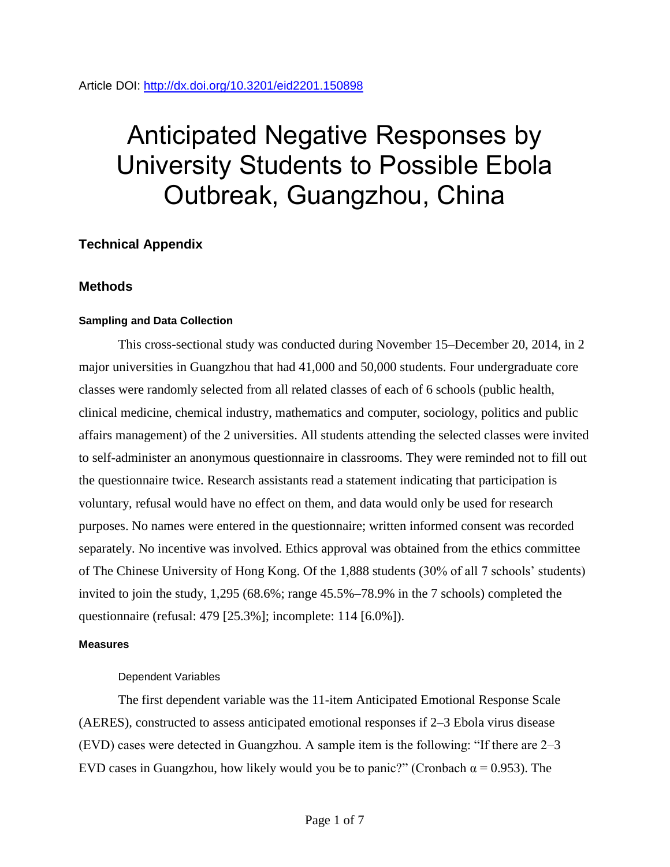# Anticipated Negative Responses by University Students to Possible Ebola Outbreak, Guangzhou, China

# **Technical Appendix**

## **Methods**

## **Sampling and Data Collection**

This cross-sectional study was conducted during November 15–December 20, 2014, in 2 major universities in Guangzhou that had 41,000 and 50,000 students. Four undergraduate core classes were randomly selected from all related classes of each of 6 schools (public health, clinical medicine, chemical industry, mathematics and computer, sociology, politics and public affairs management) of the 2 universities. All students attending the selected classes were invited to self-administer an anonymous questionnaire in classrooms. They were reminded not to fill out the questionnaire twice. Research assistants read a statement indicating that participation is voluntary, refusal would have no effect on them, and data would only be used for research purposes. No names were entered in the questionnaire; written informed consent was recorded separately. No incentive was involved. Ethics approval was obtained from the ethics committee of The Chinese University of Hong Kong. Of the 1,888 students (30% of all 7 schools' students) invited to join the study, 1,295 (68.6%; range 45.5%–78.9% in the 7 schools) completed the questionnaire (refusal: 479 [25.3%]; incomplete: 114 [6.0%]).

### **Measures**

## Dependent Variables

The first dependent variable was the 11-item Anticipated Emotional Response Scale (AERES), constructed to assess anticipated emotional responses if 2–3 Ebola virus disease (EVD) cases were detected in Guangzhou. A sample item is the following: "If there are 2–3 EVD cases in Guangzhou, how likely would you be to panic?" (Cronbach  $\alpha$  = 0.953). The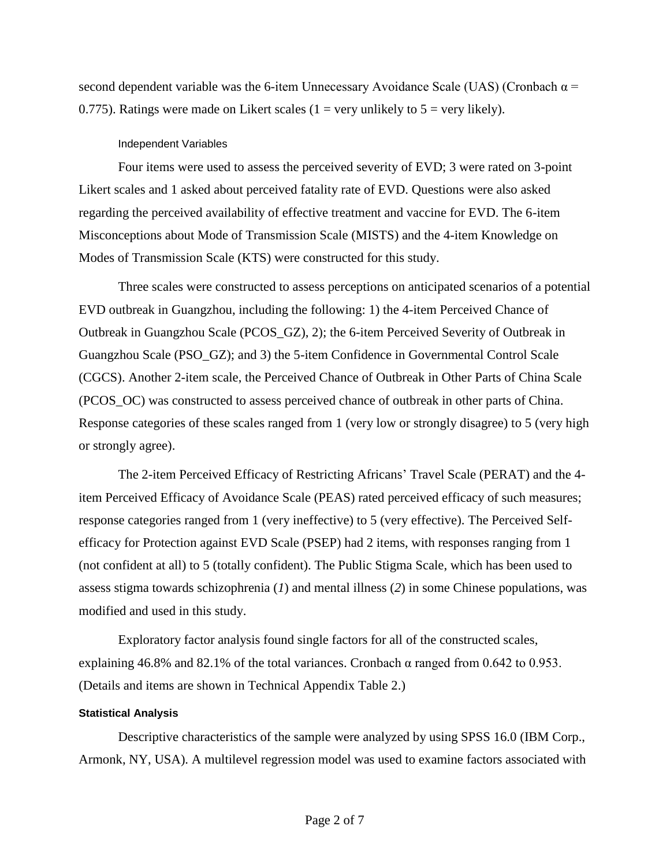second dependent variable was the 6-item Unnecessary Avoidance Scale (UAS) (Cronbach  $\alpha$  = 0.775). Ratings were made on Likert scales (1 = very unlikely to  $5$  = very likely).

### Independent Variables

Four items were used to assess the perceived severity of EVD; 3 were rated on 3-point Likert scales and 1 asked about perceived fatality rate of EVD. Questions were also asked regarding the perceived availability of effective treatment and vaccine for EVD. The 6-item Misconceptions about Mode of Transmission Scale (MISTS) and the 4-item Knowledge on Modes of Transmission Scale (KTS) were constructed for this study.

Three scales were constructed to assess perceptions on anticipated scenarios of a potential EVD outbreak in Guangzhou, including the following: 1) the 4-item Perceived Chance of Outbreak in Guangzhou Scale (PCOS\_GZ), 2); the 6-item Perceived Severity of Outbreak in Guangzhou Scale (PSO\_GZ); and 3) the 5-item Confidence in Governmental Control Scale (CGCS). Another 2-item scale, the Perceived Chance of Outbreak in Other Parts of China Scale (PCOS\_OC) was constructed to assess perceived chance of outbreak in other parts of China. Response categories of these scales ranged from 1 (very low or strongly disagree) to 5 (very high or strongly agree).

The 2-item Perceived Efficacy of Restricting Africans' Travel Scale (PERAT) and the 4 item Perceived Efficacy of Avoidance Scale (PEAS) rated perceived efficacy of such measures; response categories ranged from 1 (very ineffective) to 5 (very effective). The Perceived Selfefficacy for Protection against EVD Scale (PSEP) had 2 items, with responses ranging from 1 (not confident at all) to 5 (totally confident). The Public Stigma Scale, which has been used to assess stigma towards schizophrenia (*1*) and mental illness (*2*) in some Chinese populations, was modified and used in this study.

Exploratory factor analysis found single factors for all of the constructed scales, explaining 46.8% and 82.1% of the total variances. Cronbach  $\alpha$  ranged from 0.642 to 0.953. (Details and items are shown in Technical Appendix Table 2.)

### **Statistical Analysis**

Descriptive characteristics of the sample were analyzed by using SPSS 16.0 (IBM Corp., Armonk, NY, USA). A multilevel regression model was used to examine factors associated with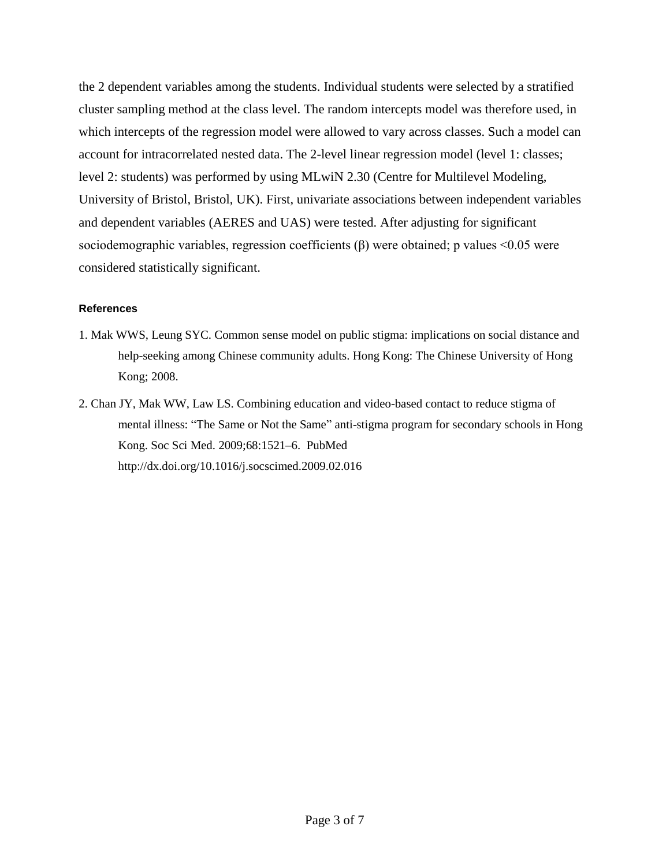the 2 dependent variables among the students. Individual students were selected by a stratified cluster sampling method at the class level. The random intercepts model was therefore used, in which intercepts of the regression model were allowed to vary across classes. Such a model can account for intracorrelated nested data. The 2-level linear regression model (level 1: classes; level 2: students) was performed by using MLwiN 2.30 (Centre for Multilevel Modeling, University of Bristol, Bristol, UK). First, univariate associations between independent variables and dependent variables (AERES and UAS) were tested. After adjusting for significant sociodemographic variables, regression coefficients  $(β)$  were obtained; p values <0.05 were considered statistically significant.

## **References**

- 1. Mak WWS, Leung SYC. Common sense model on public stigma: implications on social distance and help-seeking among Chinese community adults. Hong Kong: The Chinese University of Hong Kong; 2008.
- 2. Chan JY, Mak WW, Law LS. Combining education and video-based contact to reduce stigma of mental illness: "The Same or Not the Same" anti-stigma program for secondary schools in Hong Kong. Soc Sci Med. 2009;68:1521–6. [PubMed](file:///C:/Users/cxs1/AppData/Roaming/Microsoft/Word/%20PubMed) <http://dx.doi.org/10.1016/j.socscimed.2009.02.016>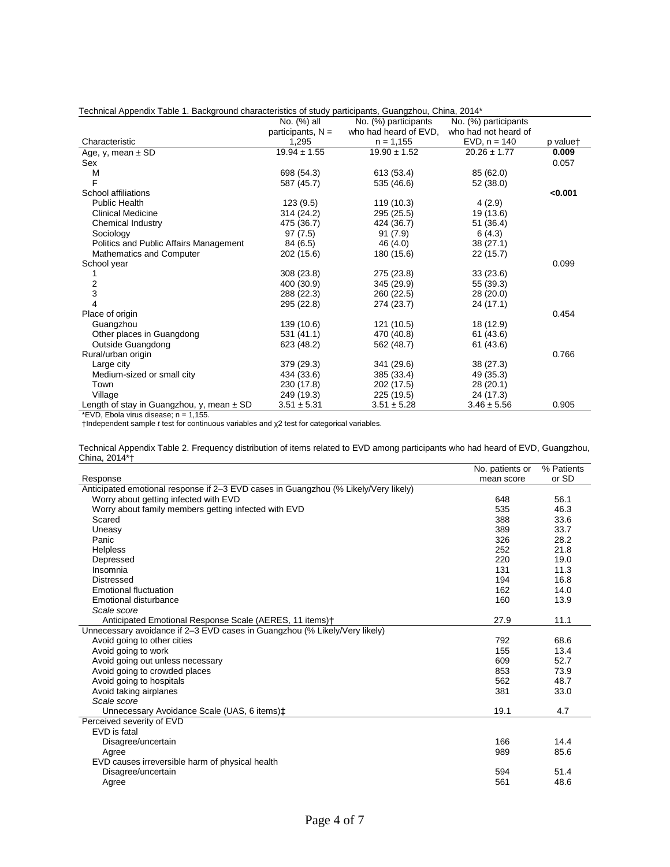| Technical Appendix Table 1. Background characteristics of study participants, Guangzhou, China, 2014^ |                     |                       |                      |          |  |
|-------------------------------------------------------------------------------------------------------|---------------------|-----------------------|----------------------|----------|--|
|                                                                                                       | No. (%) all         | No. (%) participants  | No. (%) participants |          |  |
|                                                                                                       | participants, $N =$ | who had heard of EVD, | who had not heard of |          |  |
| Characteristic                                                                                        | 1,295               | $n = 1,155$           | $EVD, n = 140$       | p valuet |  |
| Age, y, mean $\pm$ SD                                                                                 | $19.94 \pm 1.55$    | $19.90 \pm 1.52$      | $20.26 \pm 1.77$     | 0.009    |  |
| Sex                                                                                                   |                     |                       |                      | 0.057    |  |
| M                                                                                                     | 698 (54.3)          | 613 (53.4)            | 85 (62.0)            |          |  |
| F                                                                                                     | 587 (45.7)          | 535 (46.6)            | 52 (38.0)            |          |  |
| School affiliations                                                                                   |                     |                       |                      | < 0.001  |  |
| Public Health                                                                                         | 123(9.5)            | 119 (10.3)            | 4(2.9)               |          |  |
| <b>Clinical Medicine</b>                                                                              | 314 (24.2)          | 295 (25.5)            | 19 (13.6)            |          |  |
| Chemical Industry                                                                                     | 475 (36.7)          | 424 (36.7)            | 51 (36.4)            |          |  |
| Sociology                                                                                             | 97(7.5)             | 91(7.9)               | 6(4.3)               |          |  |
| Politics and Public Affairs Management                                                                | 84 (6.5)            | 46 (4.0)              | 38(27.1)             |          |  |
| Mathematics and Computer                                                                              | 202 (15.6)          | 180 (15.6)            | 22(15.7)             |          |  |
| School year                                                                                           |                     |                       |                      | 0.099    |  |
| 1                                                                                                     | 308(23.8)           | 275 (23.8)            | 33(23.6)             |          |  |
|                                                                                                       | 400 (30.9)          | 345 (29.9)            | 55 (39.3)            |          |  |
| $\frac{2}{3}$                                                                                         | 288 (22.3)          | 260 (22.5)            | 28 (20.0)            |          |  |
| 4                                                                                                     | 295 (22.8)          | 274 (23.7)            | 24 (17.1)            |          |  |
| Place of origin                                                                                       |                     |                       |                      | 0.454    |  |
| Guangzhou                                                                                             | 139 (10.6)          | 121 (10.5)            | 18 (12.9)            |          |  |
| Other places in Guangdong                                                                             | 531(41.1)           | 470 (40.8)            | 61 (43.6)            |          |  |
| Outside Guangdong                                                                                     | 623 (48.2)          | 562 (48.7)            | 61 (43.6)            |          |  |
| Rural/urban origin                                                                                    |                     |                       |                      | 0.766    |  |
| Large city                                                                                            | 379 (29.3)          | 341 (29.6)            | 38(27.3)             |          |  |
| Medium-sized or small city                                                                            | 434 (33.6)          | 385 (33.4)            | 49 (35.3)            |          |  |
| Town                                                                                                  | 230 (17.8)          | 202 (17.5)            | 28 (20.1)            |          |  |
| Village                                                                                               | 249 (19.3)          | 225 (19.5)            | 24 (17.3)            |          |  |
| Length of stay in Guangzhou, y, mean $\pm$ SD                                                         | $3.51 \pm 5.31$     | $3.51 \pm 5.28$       | $3.46 \pm 5.56$      | 0.905    |  |

| *1004 Technical Appendix Table 1. Background characteristics of study participants, Guangzhou, China, 2014 |  |  |  |
|------------------------------------------------------------------------------------------------------------|--|--|--|
|                                                                                                            |  |  |  |

\*EVD, Ebola virus disease; n = 1,155.

†Independent sample *t* test for continuous variables and χ2 test for categorical variables.

Technical Appendix Table 2. Frequency distribution of items related to EVD among participants who had heard of EVD, Guangzhou, China, 2014\*†

|                                                                                     | No. patients or | % Patients |
|-------------------------------------------------------------------------------------|-----------------|------------|
| Response                                                                            | mean score      | or SD      |
| Anticipated emotional response if 2-3 EVD cases in Guangzhou (% Likely/Very likely) |                 |            |
| Worry about getting infected with EVD                                               | 648             | 56.1       |
| Worry about family members getting infected with EVD                                | 535             | 46.3       |
| Scared                                                                              | 388             | 33.6       |
| Uneasy                                                                              | 389             | 33.7       |
| Panic                                                                               | 326             | 28.2       |
| <b>Helpless</b>                                                                     | 252             | 21.8       |
| Depressed                                                                           | 220             | 19.0       |
| Insomnia                                                                            | 131             | 11.3       |
| <b>Distressed</b>                                                                   | 194             | 16.8       |
| Emotional fluctuation                                                               | 162             | 14.0       |
| Emotional disturbance                                                               | 160             | 13.9       |
| Scale score                                                                         |                 |            |
| Anticipated Emotional Response Scale (AERES, 11 items) <sup>†</sup>                 | 27.9            | 11.1       |
| Unnecessary avoidance if 2-3 EVD cases in Guangzhou (% Likely/Very likely)          |                 |            |
| Avoid going to other cities                                                         | 792             | 68.6       |
| Avoid going to work                                                                 | 155             | 13.4       |
| Avoid going out unless necessary                                                    | 609             | 52.7       |
| Avoid going to crowded places                                                       | 853             | 73.9       |
| Avoid going to hospitals                                                            | 562             | 48.7       |
| Avoid taking airplanes                                                              | 381             | 33.0       |
| Scale score                                                                         |                 |            |
| Unnecessary Avoidance Scale (UAS, 6 items)‡                                         | 19.1            | 4.7        |
| Perceived severity of EVD                                                           |                 |            |
| EVD is fatal                                                                        |                 |            |
| Disagree/uncertain                                                                  | 166             | 14.4       |
| Agree                                                                               | 989             | 85.6       |
| EVD causes irreversible harm of physical health                                     |                 |            |
| Disagree/uncertain                                                                  | 594             | 51.4       |
| Agree                                                                               | 561             | 48.6       |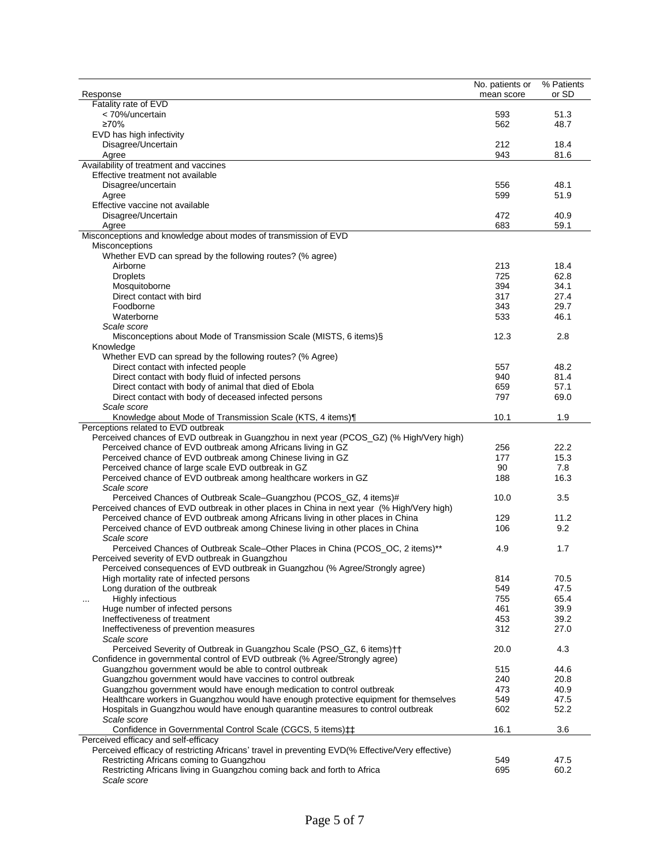|                                                                                                                                                                   | No. patients or | $\overline{\%}$ Patients |
|-------------------------------------------------------------------------------------------------------------------------------------------------------------------|-----------------|--------------------------|
| Response                                                                                                                                                          | mean score      | or SD                    |
| Fatality rate of EVD                                                                                                                                              |                 |                          |
| < 70%/uncertain<br>≥70%                                                                                                                                           | 593<br>562      | 51.3<br>48.7             |
| EVD has high infectivity                                                                                                                                          |                 |                          |
| Disagree/Uncertain                                                                                                                                                | 212             | 18.4                     |
| Agree                                                                                                                                                             | 943             | 81.6                     |
| Availability of treatment and vaccines                                                                                                                            |                 |                          |
| Effective treatment not available                                                                                                                                 |                 |                          |
| Disagree/uncertain                                                                                                                                                | 556             | 48.1                     |
| Agree                                                                                                                                                             | 599             | 51.9                     |
| Effective vaccine not available                                                                                                                                   |                 |                          |
| Disagree/Uncertain                                                                                                                                                | 472             | 40.9                     |
| Agree                                                                                                                                                             | 683             | 59.1                     |
| Misconceptions and knowledge about modes of transmission of EVD                                                                                                   |                 |                          |
| Misconceptions                                                                                                                                                    |                 |                          |
| Whether EVD can spread by the following routes? (% agree)                                                                                                         |                 |                          |
| Airborne                                                                                                                                                          | 213             | 18.4                     |
| <b>Droplets</b>                                                                                                                                                   | 725             | 62.8                     |
| Mosquitoborne                                                                                                                                                     | 394             | 34.1                     |
| Direct contact with bird                                                                                                                                          | 317             | 27.4                     |
| Foodborne                                                                                                                                                         | 343             | 29.7                     |
| Waterborne<br>Scale score                                                                                                                                         | 533             | 46.1                     |
| Misconceptions about Mode of Transmission Scale (MISTS, 6 items) §                                                                                                | 12.3            | 2.8                      |
| Knowledge                                                                                                                                                         |                 |                          |
| Whether EVD can spread by the following routes? (% Agree)                                                                                                         |                 |                          |
| Direct contact with infected people                                                                                                                               | 557             | 48.2                     |
| Direct contact with body fluid of infected persons                                                                                                                | 940             | 81.4                     |
| Direct contact with body of animal that died of Ebola                                                                                                             | 659             | 57.1                     |
| Direct contact with body of deceased infected persons                                                                                                             | 797             | 69.0                     |
| Scale score                                                                                                                                                       |                 |                          |
| Knowledge about Mode of Transmission Scale (KTS, 4 items)                                                                                                         | 10.1            | 1.9                      |
| Perceptions related to EVD outbreak                                                                                                                               |                 |                          |
| Perceived chances of EVD outbreak in Guangzhou in next year (PCOS_GZ) (% High/Very high)                                                                          |                 |                          |
| Perceived chance of EVD outbreak among Africans living in GZ                                                                                                      | 256             | 22.2                     |
| Perceived chance of EVD outbreak among Chinese living in GZ                                                                                                       | 177             | 15.3                     |
| Perceived chance of large scale EVD outbreak in GZ                                                                                                                | 90              | 7.8                      |
| Perceived chance of EVD outbreak among healthcare workers in GZ                                                                                                   | 188             | 16.3                     |
| Scale score                                                                                                                                                       |                 |                          |
| Perceived Chances of Outbreak Scale-Guangzhou (PCOS_GZ, 4 items)#                                                                                                 | 10.0            | 3.5                      |
| Perceived chances of EVD outbreak in other places in China in next year (% High/Very high)                                                                        |                 |                          |
| Perceived chance of EVD outbreak among Africans living in other places in China<br>Perceived chance of EVD outbreak among Chinese living in other places in China | 129<br>106      | 11.2<br>9.2              |
| Scale score                                                                                                                                                       |                 |                          |
| Perceived Chances of Outbreak Scale-Other Places in China (PCOS_OC, 2 items)**                                                                                    | 4.9             | 1.7                      |
| Perceived severity of EVD outbreak in Guangzhou                                                                                                                   |                 |                          |
| Perceived consequences of EVD outbreak in Guangzhou (% Agree/Strongly agree)                                                                                      |                 |                          |
| High mortality rate of infected persons                                                                                                                           | 814             | 70.5                     |
| Long duration of the outbreak                                                                                                                                     | 549             | 47.5                     |
| Highly infectious<br>$\cdots$                                                                                                                                     | 755             | 65.4                     |
| Huge number of infected persons                                                                                                                                   | 461             | 39.9                     |
| Ineffectiveness of treatment                                                                                                                                      | 453             | 39.2                     |
| Ineffectiveness of prevention measures                                                                                                                            | 312             | 27.0                     |
| Scale score                                                                                                                                                       |                 |                          |
| Perceived Severity of Outbreak in Guangzhou Scale (PSO_GZ, 6 items) ++                                                                                            | 20.0            | 4.3                      |
| Confidence in governmental control of EVD outbreak (% Agree/Strongly agree)                                                                                       |                 |                          |
| Guangzhou government would be able to control outbreak                                                                                                            | 515             | 44.6                     |
| Guangzhou government would have vaccines to control outbreak                                                                                                      | 240             | 20.8                     |
| Guangzhou government would have enough medication to control outbreak                                                                                             | 473             | 40.9                     |
| Healthcare workers in Guangzhou would have enough protective equipment for themselves                                                                             | 549             | 47.5                     |
| Hospitals in Guangzhou would have enough quarantine measures to control outbreak                                                                                  | 602             | 52.2                     |
| Scale score<br>Confidence in Governmental Control Scale (CGCS, 5 items) $\ddagger$ $\ddagger$                                                                     | 16.1            | 3.6                      |
| Perceived efficacy and self-efficacy                                                                                                                              |                 |                          |
| Perceived efficacy of restricting Africans' travel in preventing EVD(% Effective/Very effective)                                                                  |                 |                          |
| Restricting Africans coming to Guangzhou                                                                                                                          | 549             | 47.5                     |
| Restricting Africans living in Guangzhou coming back and forth to Africa                                                                                          | 695             | 60.2                     |
| Scale score                                                                                                                                                       |                 |                          |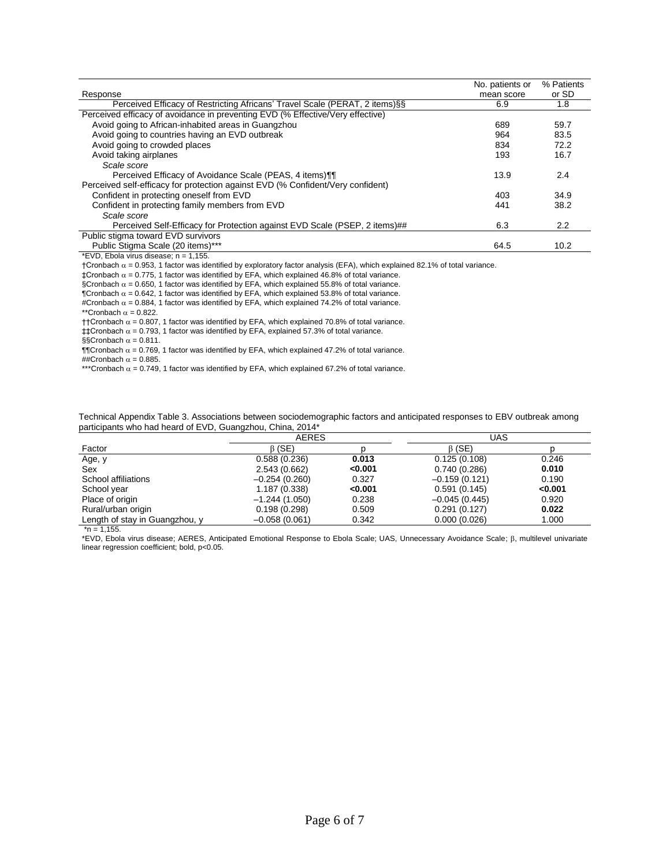|                                                                                 | No. patients or | % Patients       |
|---------------------------------------------------------------------------------|-----------------|------------------|
| Response                                                                        | mean score      | or SD            |
| Perceived Efficacy of Restricting Africans' Travel Scale (PERAT, 2 items) §§    | 6.9             | 1.8              |
| Perceived efficacy of avoidance in preventing EVD (% Effective/Very effective)  |                 |                  |
| Avoid going to African-inhabited areas in Guangzhou                             | 689             | 59.7             |
| Avoid going to countries having an EVD outbreak                                 | 964             | 83.5             |
| Avoid going to crowded places                                                   | 834             | 72.2             |
| Avoid taking airplanes                                                          | 193             | 16.7             |
| Scale score                                                                     |                 |                  |
| Perceived Efficacy of Avoidance Scale (PEAS, 4 items)                           | 13.9            | 2.4              |
| Perceived self-efficacy for protection against EVD (% Confident/Very confident) |                 |                  |
| Confident in protecting oneself from EVD                                        | 403             | 34.9             |
| Confident in protecting family members from EVD                                 | 441             | 38.2             |
| Scale score                                                                     |                 |                  |
| Perceived Self-Efficacy for Protection against EVD Scale (PSEP, 2 items)##      | 6.3             | $2.2\phantom{0}$ |
| Public stigma toward EVD survivors                                              |                 |                  |
| Public Stigma Scale (20 items)***                                               | 64.5            | 10.2             |
| *EVD, Ebola virus disease; n = 1,155.                                           |                 |                  |

 $\dagger$ Cronbach  $\alpha$  = 0.953, 1 factor was identified by exploratory factor analysis (EFA), which explained 82.1% of total variance.

 $\pm$ Cronbach  $\alpha$  = 0.775, 1 factor was identified by EFA, which explained 46.8% of total variance.

§Cronbach  $\alpha$  = 0.650, 1 factor was identified by EFA, which explained 55.8% of total variance.

 $\P$ Cronbach  $\alpha$  = 0.642, 1 factor was identified by EFA, which explained 53.8% of total variance.

#Cronbach  $\alpha$  = 0.884, 1 factor was identified by EFA, which explained 74.2% of total variance.

\*\*Cronbach  $\alpha = 0.822$ .

†+Cronbach  $\alpha$  = 0.807, 1 factor was identified by EFA, which explained 70.8% of total variance.

 $\texttt{\#Cronbach}\ \alpha$  = 0.793, 1 factor was identified by EFA, explained 57.3% of total variance.

§§Cronbach  $\alpha = 0.811$ .

 $\P$  $\blacksquare$ Cronbach  $\alpha$  = 0.769, 1 factor was identified by EFA, which explained 47.2% of total variance. ##Cronbach  $\alpha$  = 0.885.

\*\*\*Cronbach  $\alpha$  = 0.749, 1 factor was identified by EFA, which explained 67.2% of total variance.

Technical Appendix Table 3. Associations between sociodemographic factors and anticipated responses to EBV outbreak among participants who had heard of EVD, Guangzhou, China, 2014\*

|                                | <b>AERES</b>    |         | UAS             |         |
|--------------------------------|-----------------|---------|-----------------|---------|
| Factor                         | $\beta$ (SE)    |         | $\beta$ (SE)    |         |
| Age, y                         | 0.588(0.236)    | 0.013   | 0.125(0.108)    | 0.246   |
| Sex                            | 2.543 (0.662)   | < 0.001 | 0.740(0.286)    | 0.010   |
| School affiliations            | $-0.254(0.260)$ | 0.327   | $-0.159(0.121)$ | 0.190   |
| School year                    | 1.187 (0.338)   | < 0.001 | 0.591(0.145)    | < 0.001 |
| Place of origin                | $-1.244(1.050)$ | 0.238   | $-0.045(0.445)$ | 0.920   |
| Rural/urban origin             | 0.198(0.298)    | 0.509   | 0.291(0.127)    | 0.022   |
| Length of stay in Guangzhou, y | $-0.058(0.061)$ | 0.342   | 0.000(0.026)    | 1.000   |

 $n = 1,155$ .

\*EVD, Ebola virus disease; AERES, Anticipated Emotional Response to Ebola Scale; UAS, Unnecessary Avoidance Scale; , multilevel univariate linear regression coefficient; bold, p<0.05.